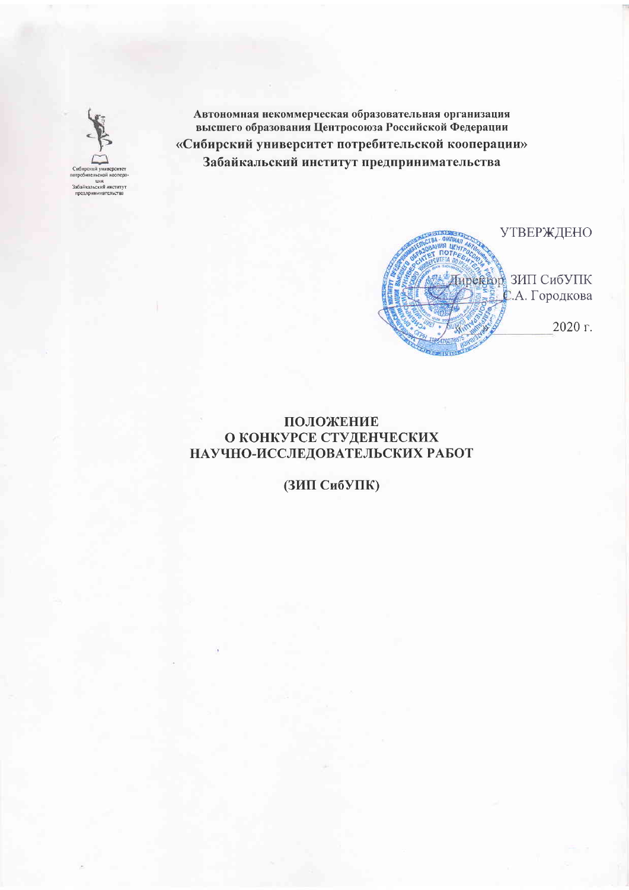

Автономная некоммерческая образовательная организация высшего образования Центросоюза Российской Федерации «Сибирский университет потребительской кооперации» Забайкальский институт предпринимательства

**УТВЕРЖДЕНО Пиреквор ЗИП СибУПК** С.А. Городкова 2020 г.

### ПОЛОЖЕНИЕ О КОНКУРСЕ СТУДЕНЧЕСКИХ НАУЧНО-ИССЛЕДОВАТЕЛЬСКИХ РАБОТ

(ЗИП СибУПК)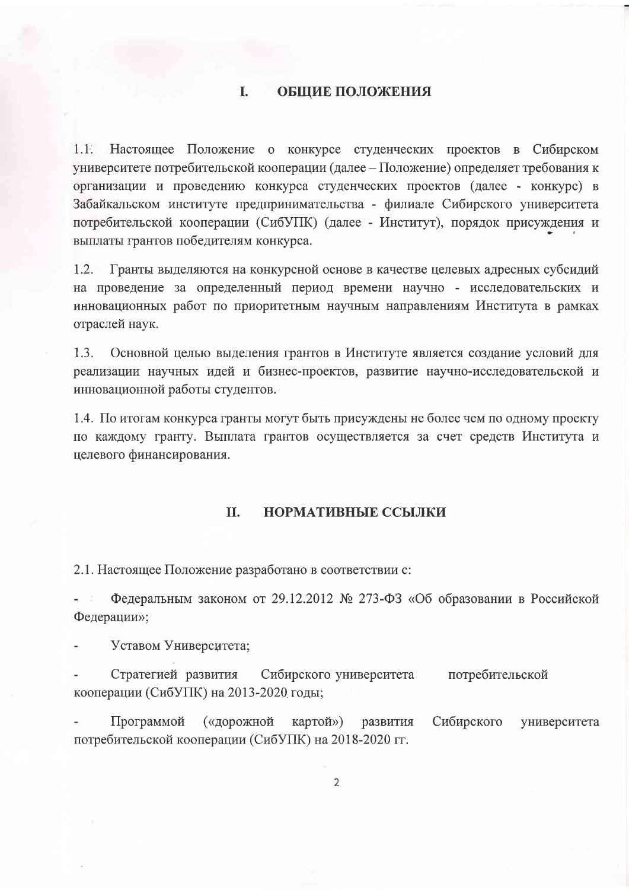#### L **ОБЩИЕ ПОЛОЖЕНИЯ**

 $1.1<sub>1</sub>$ Настоящее Положение о конкурсе студенческих проектов в Сибирском университете потребительской кооперации (далее – Положение) определяет требования к организации и проведению конкурса студенческих проектов (далее - конкурс) в Забайкальском институте предпринимательства - филиале Сибирского университета потребительской кооперации (СибУПК) (далее - Институт), порядок присуждения и выплаты грантов победителям конкурса.

 $1.2.$ Гранты выделяются на конкурсной основе в качестве целевых адресных субсидий на проведение за определенный период времени научно - исследовательских и инновационных работ по приоритетным научным направлениям Института в рамках отраслей наук.

 $1.3.$ Основной целью выделения грантов в Институте является создание условий для реализации научных идей и бизнес-проектов, развитие научно-исследовательской и инновационной работы студентов.

1.4. По итогам конкурса гранты могут быть присуждены не более чем по одному проекту но каждому гранту. Выплата грантов осуществляется за счет средств Института и целевого финансирования.

#### II. НОРМАТИВНЫЕ ССЫЛКИ

2.1. Настоящее Положение разработано в соответствии с:

Федеральным законом от 29.12.2012 № 273-ФЗ «Об образовании в Российской Федерации»;

Уставом Университета;

Стратегией развития Сибирского университета потребительской кооперации (СибУПК) на 2013-2020 годы;

Программой («дорожной картой») развития Сибирского университета потребительской кооперации (СибУПК) на 2018-2020 гг.

 $\overline{2}$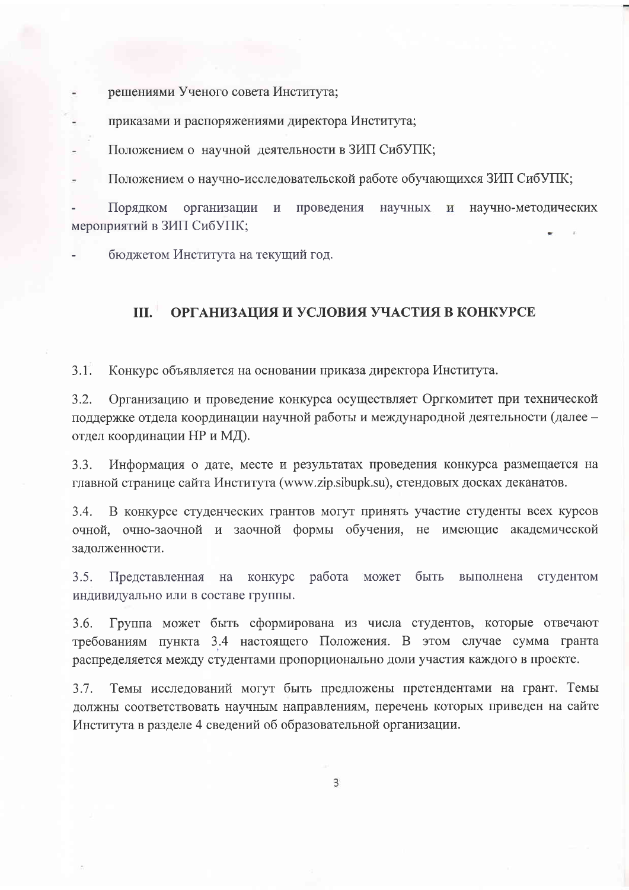решениями Ученого совета Института;

приказами и распоряжениями директора Института;

Положением о научной деятельности в ЗИП СибУПК;

Положением о научно-исследовательской работе обучающихся ЗИП СибУПК;

Порядком организации  $\mathbf{M}$ проведения научных научно-методических  $\overline{\mathbf{M}}$ мероприятий в ЗИП СибУПК;

бюджетом Института на текущий год.

#### $\Pi L^{\pm}$ ОРГАНИЗАЦИЯ И УСЛОВИЯ УЧАСТИЯ В КОНКУРСЕ

 $3.1.$ Конкурс объявляется на основании приказа директора Института.

 $3.2.$ Организацию и проведение конкурса осуществляет Оргкомитет при технической поддержке отдела координации научной работы и международной деятельности (далее отдел координации НР и МД).

 $3.3.$ Информация о дате, месте и результатах проведения конкурса размещается на главной странице сайта Института (www.zip.sibupk.su), стендовых досках деканатов.

 $3.4.$ В конкурсе студенческих грантов могут принять участие студенты всех курсов очной, очно-заочной и заочной формы обучения, не имеющие академической задолженности.

 $3.5.$ Представленная конкурс работа быть Ha может выполнена студентом индивидуально или в составе группы.

 $3.6.$ Группа может быть сформирована из числа студентов, которые отвечают требованиям пункта 3.4 настоящего Положения. В этом случае сумма гранта распределяется между студентами пропорционально доли участия каждого в проекте.

 $3.7.$ Темы исследований могут быть предложены претендентами на грант. Темы должны соответствовать научным направлениям, перечень которых приведен на сайте Института в разделе 4 сведений об образовательной организации.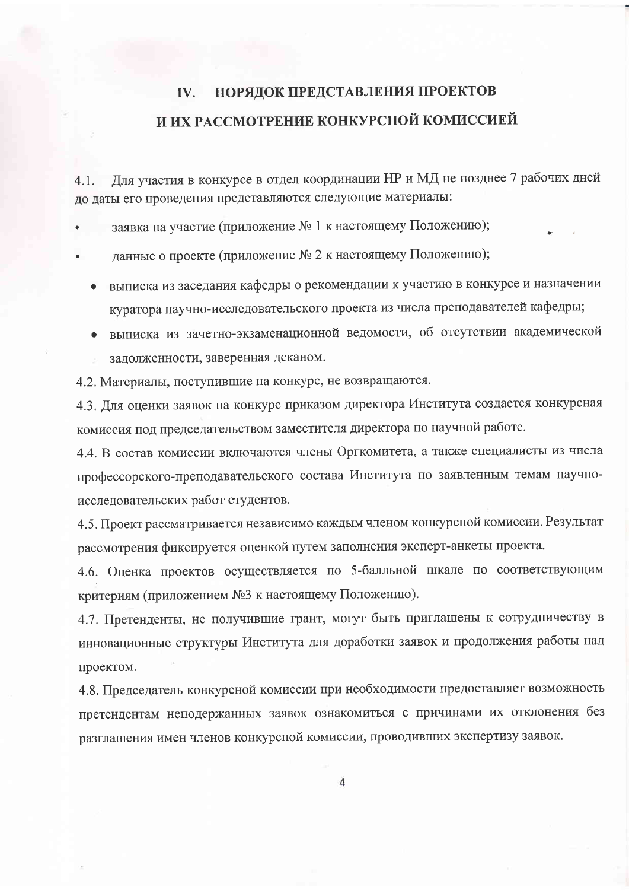#### ПОРЯДОК ПРЕДСТАВЛЕНИЯ ПРОЕКТОВ IV. И ИХ РАССМОТРЕНИЕ КОНКУРСНОЙ КОМИССИЕЙ

Для участия в конкурсе в отдел координации НР и МД не позднее 7 рабочих дней  $4.1.$ до даты его проведения представляются следующие материалы:

заявка на участие (приложение № 1 к настоящему Положению);

- данные о проекте (приложение № 2 к настоящему Положению);
	- выписка из заседания кафедры о рекомендации к участию в конкурсе и назначении куратора научно-исследовательского проекта из числа преподавателей кафедры;
	- выписка из зачетно-экзаменационной ведомости, об отсутствии академической задолженности, заверенная деканом.

4.2. Материалы, поступившие на конкурс, не возвращаются.

4.3. Для оценки заявок на конкурс приказом директора Института создается конкурсная комиссия под председательством заместителя директора по научной работе.

4.4. В состав комиссии включаются члены Оргкомитета, а также специалисты из числа профессорского-преподавательского состава Института по заявленным темам научноисследовательских работ студентов.

4.5. Проект рассматривается независимо каждым членом конкурсной комиссии. Результат рассмотрения фиксируется оценкой путем заполнения эксперт-анкеты проекта.

4.6. Оценка проектов осуществляется по 5-балльной шкале по соответствующим критериям (приложением №3 к настоящему Положению).

4.7. Претенденты, не получившие грант, могут быть приглашены к сотрудничеству в инновационные структуры Института для доработки заявок и продолжения работы над проектом.

4.8. Председатель конкурсной комиссии при необходимости предоставляет возможность претендентам неподержанных заявок ознакомиться с причинами их отклонения без разглашения имен членов конкурсной комиссии, проводивших экспертизу заявок.

 $\overline{4}$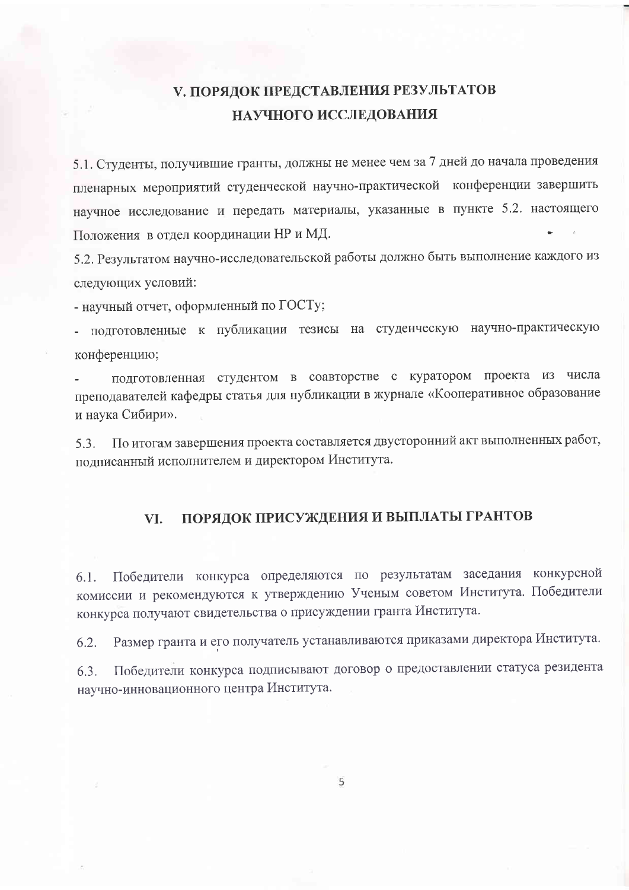## V. ПОРЯДОК ПРЕДСТАВЛЕНИЯ РЕЗУЛЬТАТОВ НАУЧНОГО ИССЛЕДОВАНИЯ

5.1. Студенты, получившие гранты, должны не менее чем за 7 дней до начала проведения пленарных мероприятий студенческой научно-практической конференции завершить научное исследование и передать материалы, указанные в пункте 5.2. настоящего Положения в отдел координации НР и МД.

5.2. Результатом научно-исследовательской работы должно быть выполнение каждого из следующих условий:

- научный отчет, оформленный по ГОСТу;

подготовленные к публикации тезисы на студенческую научно-практическую конференцию;

подготовленная студентом в соавторстве с куратором проекта из числа преподавателей кафедры статья для публикации в журнале «Кооперативное образование и наука Сибири».

По итогам завершения проекта составляется двусторонний акт выполненных работ,  $5.3.$ подписанный исполнителем и директором Института.

#### ПОРЯДОК ПРИСУЖДЕНИЯ И ВЫПЛАТЫ ГРАНТОВ VI.

Победители конкурса определяются по результатам заседания конкурсной  $6.1.$ комиссии и рекомендуются к утверждению Ученым советом Института. Победители конкурса получают свидетельства о присуждении гранта Института.

Размер гранта и его получатель устанавливаются приказами директора Института. 6.2.

Победители конкурса подписывают договор о предоставлении статуса резидента 6.3. научно-инновационного центра Института.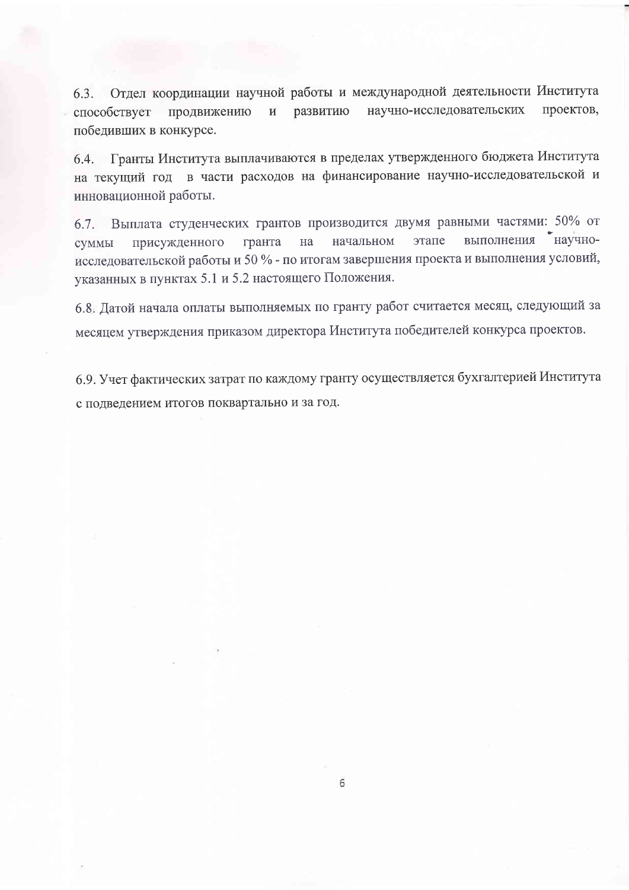6.3. Отдел координации научной работы и международной деятельности Института научно-исследовательских проектов, способствует продвижению развитию  $\overline{M}$ победивших в конкурсе.

6.4. Гранты Института выплачиваются в пределах утвержденного бюджета Института на текущий год в части расходов на финансирование научно-исследовательской и инновационной работы.

Выплата студенческих грантов производится двумя равными частями: 50% от  $6.7.$ выполнения научноэтапе начальном гранта на присужденного суммы исследовательской работы и 50 % - по итогам завершения проекта и выполнения условий, указанных в пунктах 5.1 и 5.2 настоящего Положения.

6.8. Датой начала оплаты выполняемых по гранту работ считается месяц, следующий за месяцем утверждения приказом директора Института победителей конкурса проектов.

6.9. Учет фактических затрат по каждому гранту осуществляется бухгалтерией Института с подведением итогов поквартально и за год.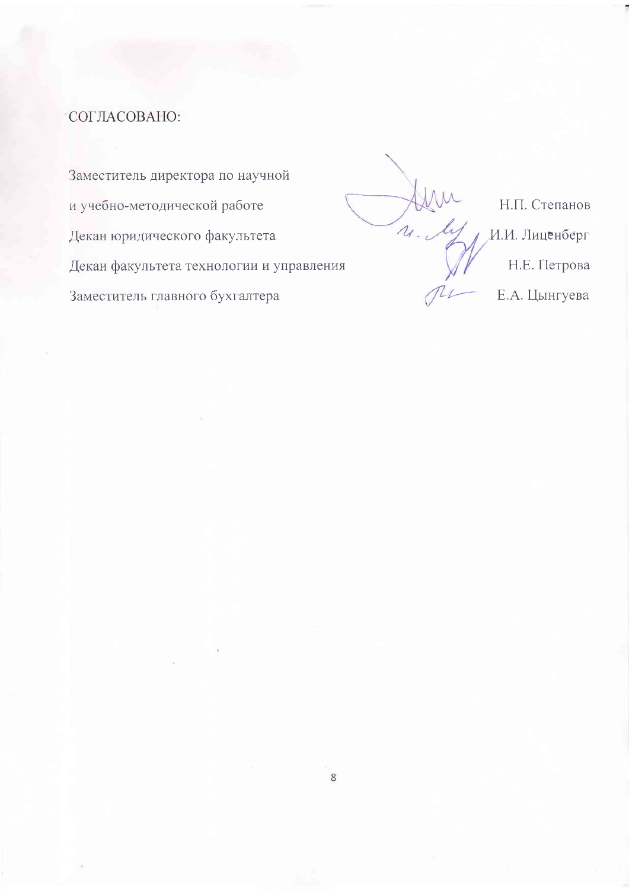## СОГЛАСОВАНО:

Заместитель директора по научной и учебно-методической работе Декан юридического факультета Декан факультета технологии и управления Заместитель главного бухгалтера

Н.П. Степанов  $\lambda$ И.И. Лиценберг Н.Е. Петрова Е.А. Цынгуева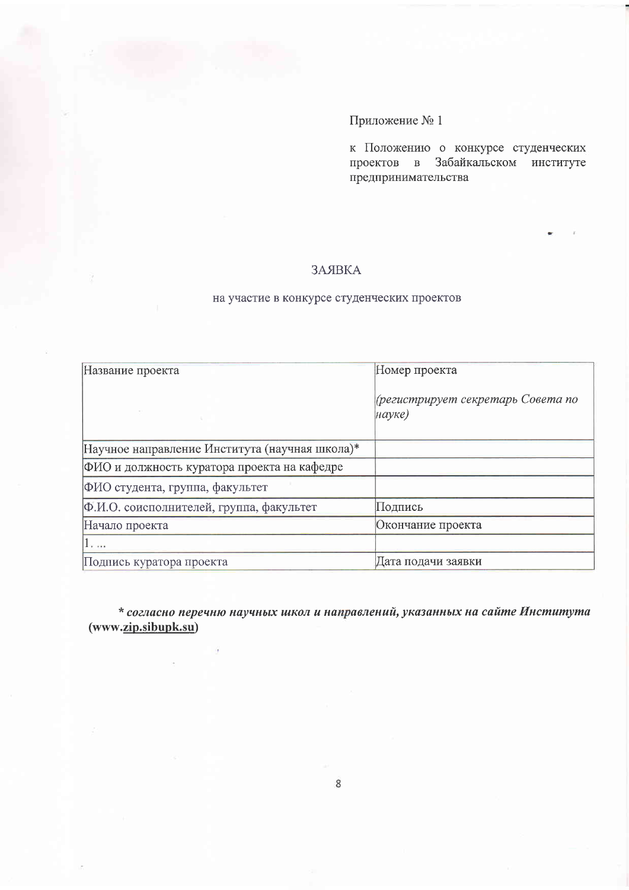к Положению о конкурсе студенческих проектов в Забайкальском институте предпринимательства

#### ЗАЯВКА

### на участие в конкурсе студенческих проектов

| Название проекта                               | Номер проекта                               |
|------------------------------------------------|---------------------------------------------|
|                                                | (регистрирует секретарь Совета по<br>науке) |
| Научное направление Института (научная школа)* |                                             |
| ФИО и должность куратора проекта на кафедре    |                                             |
| ФИО студента, группа, факультет                |                                             |
| Ф.И.О. соисполнителей, группа, факультет       | Подпись                                     |
| Начало проекта                                 | Окончание проекта                           |
| 1.1.1                                          |                                             |
| Подпись куратора проекта                       | Дата подачи заявки                          |

\* согласно перечню научных школ и направлений, указанных на сайте Института  $(www.\underline{zip.sibupk.su})$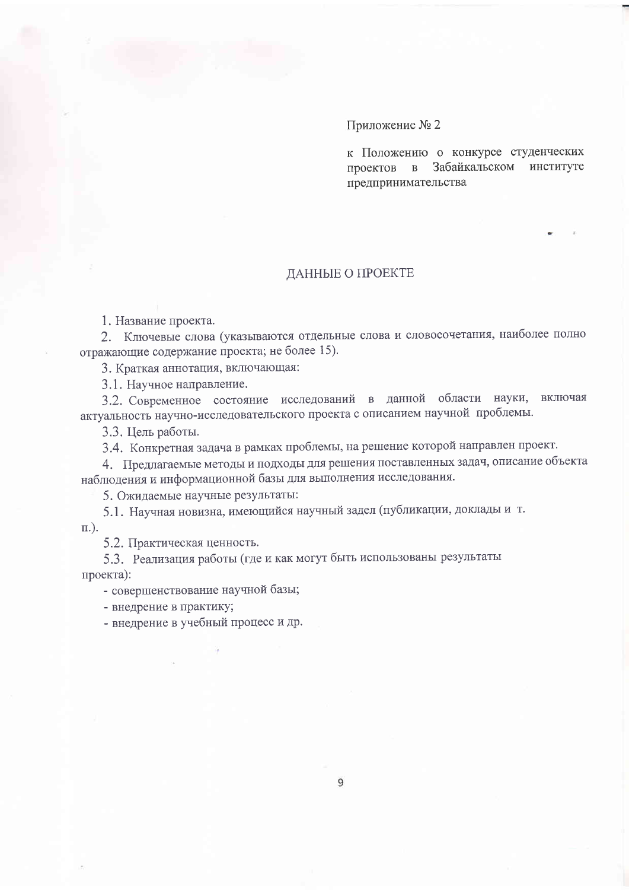к Положению о конкурсе студенческих проектов в Забайкальском институте предпринимательства

#### ДАННЫЕ О ПРОЕКТЕ

1. Название проекта.

2. Ключевые слова (указываются отдельные слова и словосочетания, наиболее полно отражающие содержание проекта; не более 15).

3. Краткая аннотация, включающая:

3.1. Научное направление.

3.2. Современное состояние исследований в данной области науки, включая актуальность научно-исследовательского проекта с описанием научной проблемы.

3.3. Цель работы.

3.4. Конкретная задача в рамках проблемы, на решение которой направлен проект.

4. Предлагаемые методы и подходы для решения поставленных задач, описание объекта наблюдения и информационной базы для выполнения исследования.

5. Ожидаемые научные результаты:

5.1. Научная новизна, имеющийся научный задел (публикации, доклады и т.  $\Pi$ .).

5.2. Практическая ценность.

5.3. Реализация работы (где и как могут быть использованы результаты проекта):

- совершенствование научной базы;

- внедрение в практику;

- внедрение в учебный процесс и др.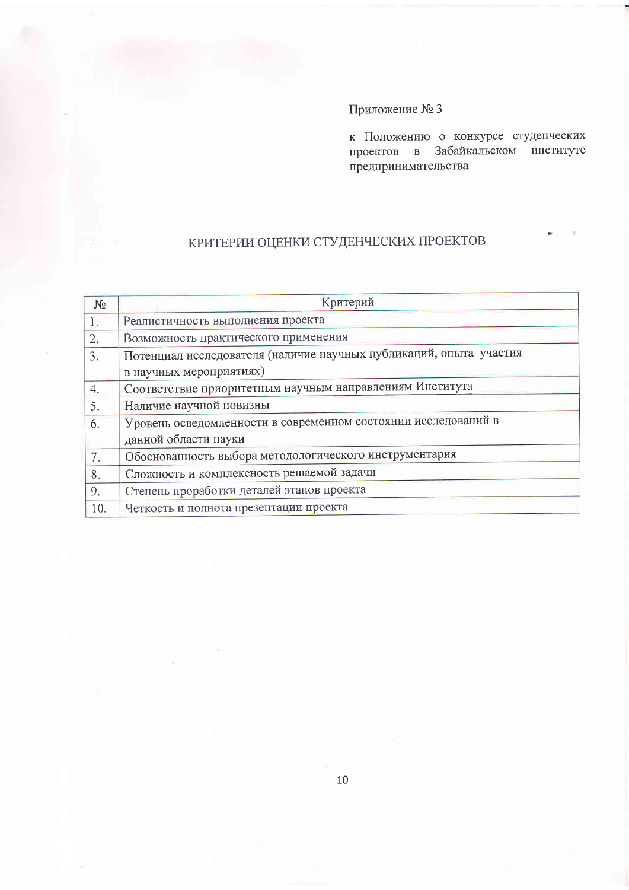к Положению о конкурсе студенческих проектов в Забайкальском институте предпринимательства

# КРИТЕРИИ ОЦЕНКИ СТУДЕНЧЕСКИХ ПРОЕКТОВ

| $N_2$ | Критерий                                                           |
|-------|--------------------------------------------------------------------|
| 1.    | Реалистичность выполнения проекта                                  |
| 2.    | Возможность практического применения                               |
| 3.    | Потенциал исследователя (наличие научных публикаций, опыта участия |
|       | в научных мероприятиях)                                            |
| 4.    | Соответствие приоритетным научным направлениям Института           |
| 5.    | Наличие научной новизны                                            |
| 6.    | Уровень осведомленности в современном состоянии исследований в     |
|       | данной области науки                                               |
| 7.    | Обоснованность выбора методологического инструментария             |
| 8.    | Сложность и комплексность решаемой задачи                          |
| 9.    | Степень проработки деталей этапов проекта                          |
| 10.   | Четкость и полнота презентации проекта                             |